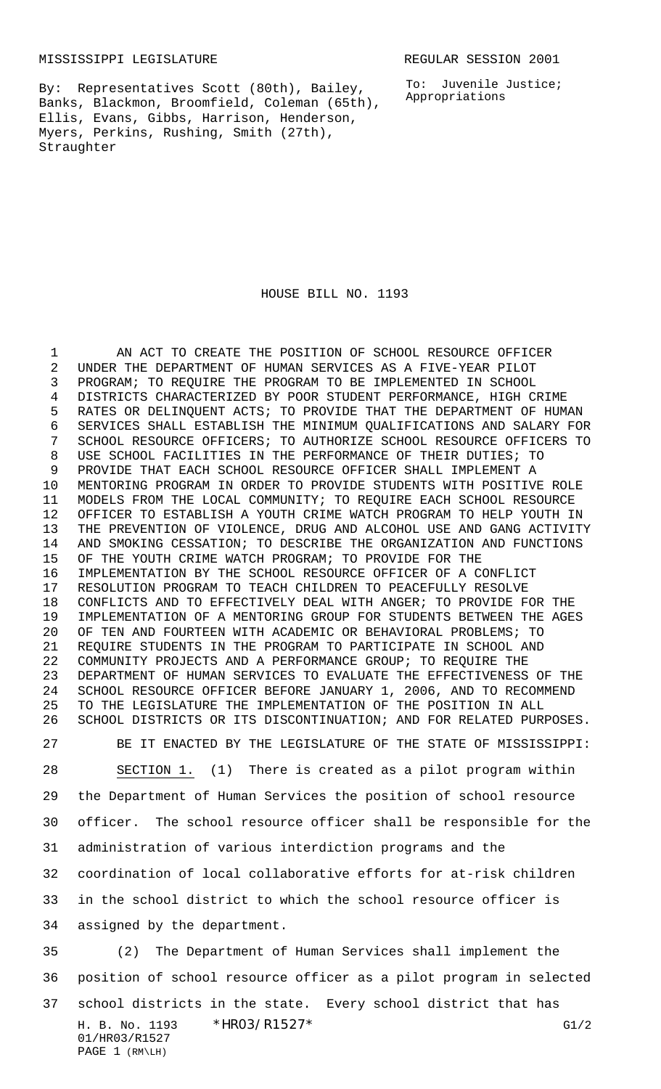MISSISSIPPI LEGISLATURE **REGULAR SESSION 2001** 

To: Juvenile Justice; Appropriations

By: Representatives Scott (80th), Bailey, Banks, Blackmon, Broomfield, Coleman (65th), Ellis, Evans, Gibbs, Harrison, Henderson, Myers, Perkins, Rushing, Smith (27th), Straughter

## HOUSE BILL NO. 1193

H. B. No. 1193 \*HRO3/R1527\* G1/2 AN ACT TO CREATE THE POSITION OF SCHOOL RESOURCE OFFICER UNDER THE DEPARTMENT OF HUMAN SERVICES AS A FIVE-YEAR PILOT PROGRAM; TO REQUIRE THE PROGRAM TO BE IMPLEMENTED IN SCHOOL DISTRICTS CHARACTERIZED BY POOR STUDENT PERFORMANCE, HIGH CRIME RATES OR DELINQUENT ACTS; TO PROVIDE THAT THE DEPARTMENT OF HUMAN SERVICES SHALL ESTABLISH THE MINIMUM QUALIFICATIONS AND SALARY FOR SCHOOL RESOURCE OFFICERS; TO AUTHORIZE SCHOOL RESOURCE OFFICERS TO USE SCHOOL FACILITIES IN THE PERFORMANCE OF THEIR DUTIES; TO PROVIDE THAT EACH SCHOOL RESOURCE OFFICER SHALL IMPLEMENT A MENTORING PROGRAM IN ORDER TO PROVIDE STUDENTS WITH POSITIVE ROLE MODELS FROM THE LOCAL COMMUNITY; TO REQUIRE EACH SCHOOL RESOURCE OFFICER TO ESTABLISH A YOUTH CRIME WATCH PROGRAM TO HELP YOUTH IN THE PREVENTION OF VIOLENCE, DRUG AND ALCOHOL USE AND GANG ACTIVITY AND SMOKING CESSATION; TO DESCRIBE THE ORGANIZATION AND FUNCTIONS OF THE YOUTH CRIME WATCH PROGRAM; TO PROVIDE FOR THE IMPLEMENTATION BY THE SCHOOL RESOURCE OFFICER OF A CONFLICT RESOLUTION PROGRAM TO TEACH CHILDREN TO PEACEFULLY RESOLVE CONFLICTS AND TO EFFECTIVELY DEAL WITH ANGER; TO PROVIDE FOR THE IMPLEMENTATION OF A MENTORING GROUP FOR STUDENTS BETWEEN THE AGES OF TEN AND FOURTEEN WITH ACADEMIC OR BEHAVIORAL PROBLEMS; TO REQUIRE STUDENTS IN THE PROGRAM TO PARTICIPATE IN SCHOOL AND COMMUNITY PROJECTS AND A PERFORMANCE GROUP; TO REQUIRE THE DEPARTMENT OF HUMAN SERVICES TO EVALUATE THE EFFECTIVENESS OF THE SCHOOL RESOURCE OFFICER BEFORE JANUARY 1, 2006, AND TO RECOMMEND TO THE LEGISLATURE THE IMPLEMENTATION OF THE POSITION IN ALL SCHOOL DISTRICTS OR ITS DISCONTINUATION; AND FOR RELATED PURPOSES. BE IT ENACTED BY THE LEGISLATURE OF THE STATE OF MISSISSIPPI: SECTION 1. (1) There is created as a pilot program within the Department of Human Services the position of school resource officer. The school resource officer shall be responsible for the administration of various interdiction programs and the coordination of local collaborative efforts for at-risk children in the school district to which the school resource officer is assigned by the department. (2) The Department of Human Services shall implement the position of school resource officer as a pilot program in selected school districts in the state. Every school district that has

## 01/HR03/R1527 PAGE 1 (RM\LH)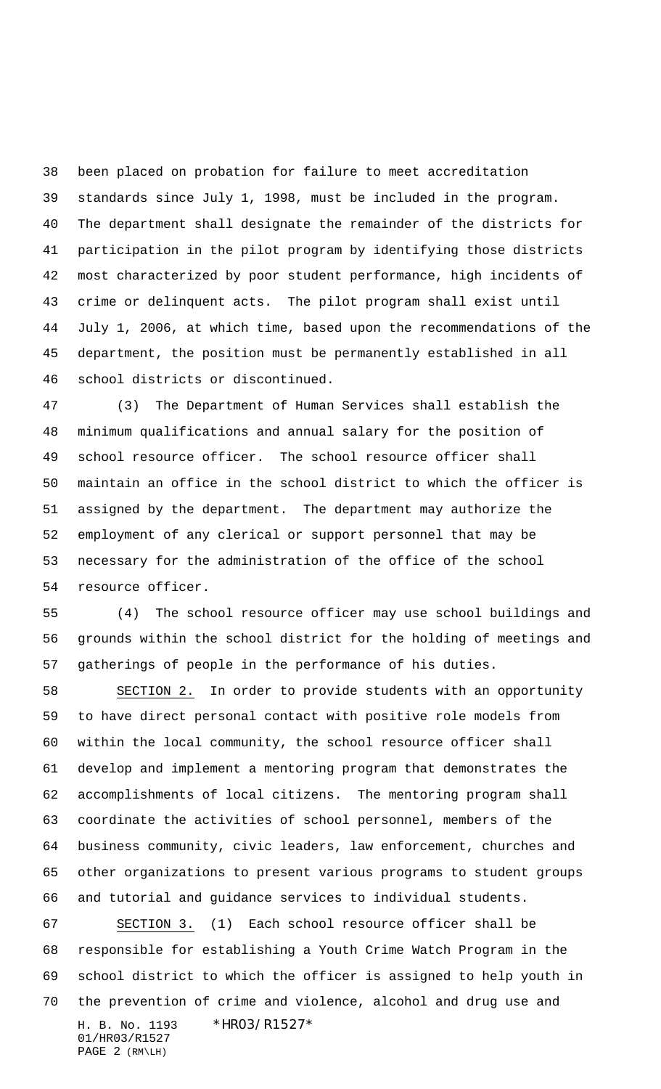been placed on probation for failure to meet accreditation standards since July 1, 1998, must be included in the program. The department shall designate the remainder of the districts for participation in the pilot program by identifying those districts most characterized by poor student performance, high incidents of crime or delinquent acts. The pilot program shall exist until July 1, 2006, at which time, based upon the recommendations of the department, the position must be permanently established in all school districts or discontinued.

 (3) The Department of Human Services shall establish the minimum qualifications and annual salary for the position of school resource officer. The school resource officer shall maintain an office in the school district to which the officer is assigned by the department. The department may authorize the employment of any clerical or support personnel that may be necessary for the administration of the office of the school resource officer.

 (4) The school resource officer may use school buildings and grounds within the school district for the holding of meetings and gatherings of people in the performance of his duties.

 SECTION 2. In order to provide students with an opportunity to have direct personal contact with positive role models from within the local community, the school resource officer shall develop and implement a mentoring program that demonstrates the accomplishments of local citizens. The mentoring program shall coordinate the activities of school personnel, members of the business community, civic leaders, law enforcement, churches and other organizations to present various programs to student groups and tutorial and guidance services to individual students.

H. B. No. 1193 \*HR03/R1527\* 01/HR03/R1527 PAGE 2 (RM\LH) SECTION 3. (1) Each school resource officer shall be responsible for establishing a Youth Crime Watch Program in the school district to which the officer is assigned to help youth in the prevention of crime and violence, alcohol and drug use and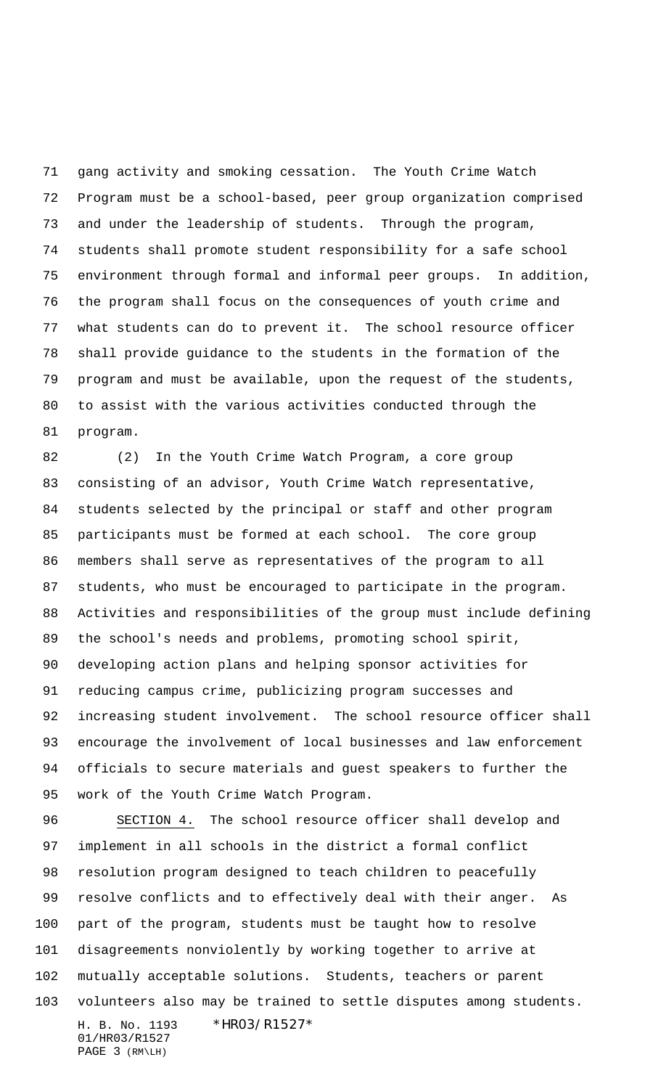gang activity and smoking cessation. The Youth Crime Watch Program must be a school-based, peer group organization comprised and under the leadership of students. Through the program, students shall promote student responsibility for a safe school environment through formal and informal peer groups. In addition, the program shall focus on the consequences of youth crime and what students can do to prevent it. The school resource officer shall provide guidance to the students in the formation of the program and must be available, upon the request of the students, to assist with the various activities conducted through the program.

 (2) In the Youth Crime Watch Program, a core group consisting of an advisor, Youth Crime Watch representative, students selected by the principal or staff and other program participants must be formed at each school. The core group members shall serve as representatives of the program to all students, who must be encouraged to participate in the program. Activities and responsibilities of the group must include defining the school's needs and problems, promoting school spirit, developing action plans and helping sponsor activities for reducing campus crime, publicizing program successes and increasing student involvement. The school resource officer shall encourage the involvement of local businesses and law enforcement officials to secure materials and guest speakers to further the work of the Youth Crime Watch Program.

H. B. No. 1193 \*HR03/R1527\* 01/HR03/R1527 PAGE 3 (RM\LH) SECTION 4. The school resource officer shall develop and implement in all schools in the district a formal conflict resolution program designed to teach children to peacefully resolve conflicts and to effectively deal with their anger. As part of the program, students must be taught how to resolve disagreements nonviolently by working together to arrive at mutually acceptable solutions. Students, teachers or parent volunteers also may be trained to settle disputes among students.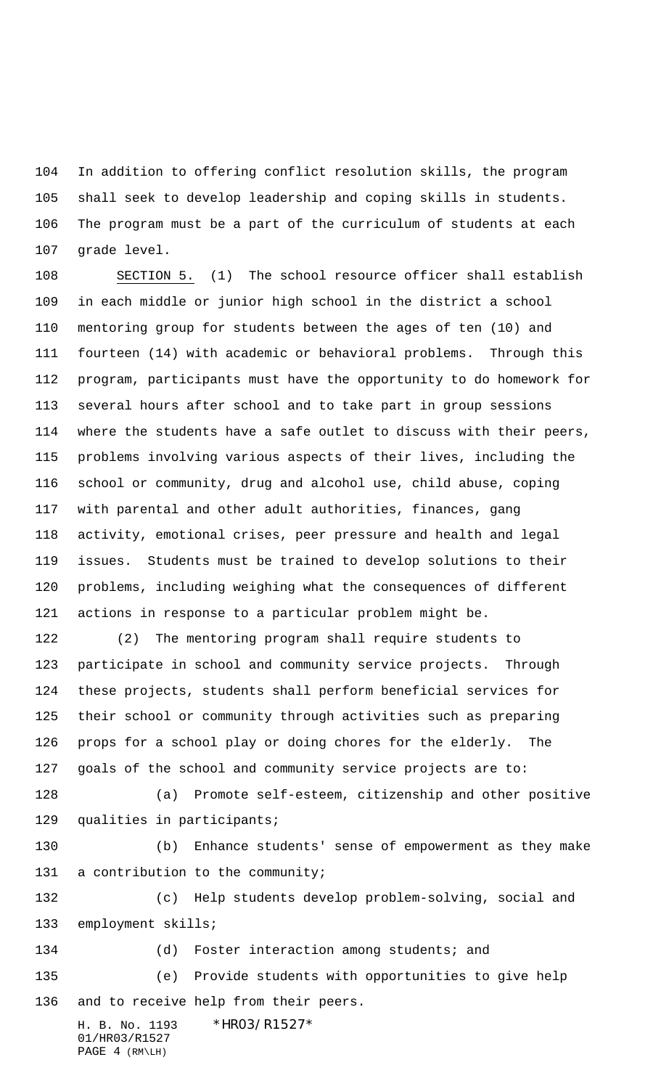In addition to offering conflict resolution skills, the program shall seek to develop leadership and coping skills in students. The program must be a part of the curriculum of students at each grade level.

 SECTION 5. (1) The school resource officer shall establish in each middle or junior high school in the district a school mentoring group for students between the ages of ten (10) and fourteen (14) with academic or behavioral problems. Through this program, participants must have the opportunity to do homework for several hours after school and to take part in group sessions where the students have a safe outlet to discuss with their peers, problems involving various aspects of their lives, including the school or community, drug and alcohol use, child abuse, coping with parental and other adult authorities, finances, gang activity, emotional crises, peer pressure and health and legal issues. Students must be trained to develop solutions to their problems, including weighing what the consequences of different actions in response to a particular problem might be.

 (2) The mentoring program shall require students to participate in school and community service projects. Through these projects, students shall perform beneficial services for their school or community through activities such as preparing props for a school play or doing chores for the elderly. The goals of the school and community service projects are to:

 (a) Promote self-esteem, citizenship and other positive qualities in participants;

 (b) Enhance students' sense of empowerment as they make a contribution to the community;

 (c) Help students develop problem-solving, social and employment skills; (d) Foster interaction among students; and

 (e) Provide students with opportunities to give help and to receive help from their peers.

H. B. No. 1193 \*HR03/R1527\* 01/HR03/R1527 PAGE 4 (RM\LH)